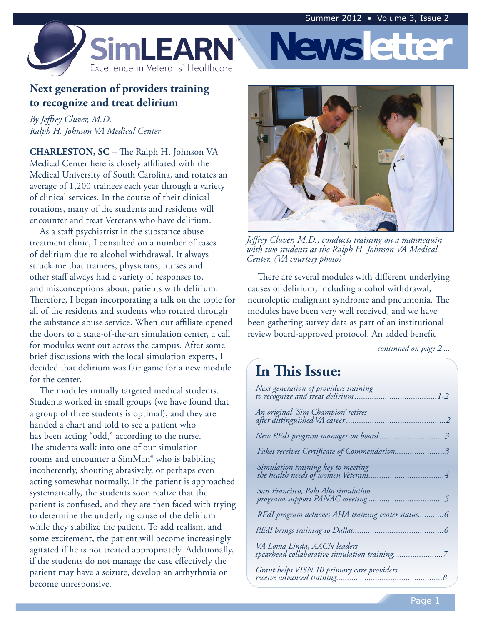**Newsletter**



#### **Next generation of providers training to recognize and treat delirium**

*By Jeffrey Cluver, M.D. Ralph H. Johnson VA Medical Center* 

 **CHARLESTON, SC** – The Ralph H. Johnson VA Medical Center here is closely affiliated with the average of 1,200 trainees each year through a variety of clinical services. In the course of their clinical rotations, many of the students and residents will encounter and treat Veterans who have delirium. Medical University of South Carolina, and rotates an

 treatment clinic, I consulted on a number of cases of delirium due to alcohol withdrawal. It always struck me that trainees, physicians, nurses and other staff always had a variety of responses to, and misconceptions about, patients with delirium. Therefore, I began incorporating a talk on the topic for all of the residents and students who rotated through the substance abuse service. When our affiliate opened the doors to a state-of-the-art simulation center, a call for modules went out across the campus. After some brief discussions with the local simulation experts, I decided that delirium was fair game for a new module for the center. As a staff psychiatrist in the substance abuse

 Students worked in small groups (we have found that a group of three students is optimal), and they are handed a chart and told to see a patient who has been acting "odd," according to the nurse. The students walk into one of our simulation rooms and encounter a SimMan® who is babbling incoherently, shouting abrasively, or perhaps even acting somewhat normally. If the patient is approached systematically, the students soon realize that the patient is confused, and they are then faced with trying to determine the underlying cause of the delirium while they stabilize the patient. To add realism, and some excitement, the patient will become increasingly agitated if he is not treated appropriately. Additionally, if the students do not manage the case effectively the patient may have a seizure, develop an arrhythmia or The modules initially targeted medical students. become unresponsive.



*Jeffrey Cluver, M.D., conducts training on a mannequin with two students at the Ralph H. Johnson VA Medical Center. (VA courtesy photo)* 

 causes of delirium, including alcohol withdrawal, neuroleptic malignant syndrome and pneumonia. The modules have been very well received, and we have been gathering survey data as part of an institutional review board-approved protocol. An added benefit There are several modules with different underlying

*continued on page 2 ...* 

### **In This Issue:**

| Next generation of providers training                                       |
|-----------------------------------------------------------------------------|
| An original 'Sim Champion' retires                                          |
| New REdI program manager on board3                                          |
| Fakes receives Certificate of Commendation3                                 |
|                                                                             |
| San Francisco, Palo Alto simulation                                         |
| REdI program achieves AHA training center status6                           |
|                                                                             |
| VA Loma Linda, AACN leaders<br>spearhead collaborative simulation training7 |
|                                                                             |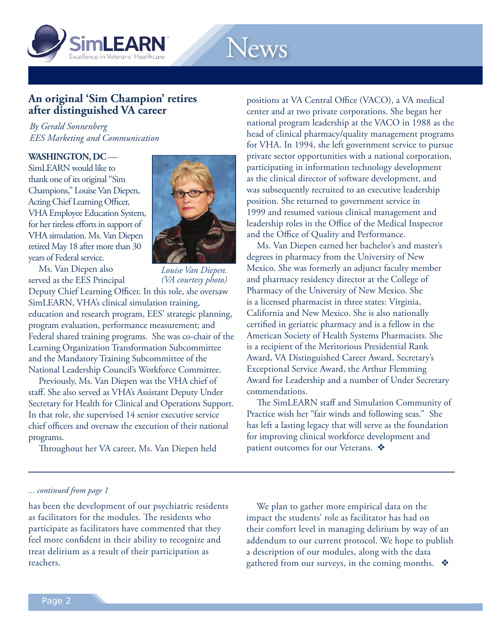<span id="page-1-0"></span>

## News

#### **An original 'Sim Champion' retires after distinguished VA career**

*By Gerald Sonnenberg EES Marketing and Communication* 

#### **WASHINGTON, DC** —

 SimLEARN would like to thank one of its original "Sim Champions," Louise Van Diepen, Acting Chief Learning Officer, VHA Employee Education System, for her tireless efforts in support of VHA simulation. Ms. Van Diepen retired May 18 after more than 30 years of Federal service.



 served as the EES Principal Ms. Van Diepen also

 *Louise Van Diepen. (VA courtesy photo)* 

 Deputy Chief Learning Officer. In this role, she oversaw SimLEARN, VHA's clinical simulation training, education and research program, EES' strategic planning, program evaluation, performance measurement; and Federal shared training programs. She was co-chair of the Learning Organization Transformation Subcommittee and the Mandatory Training Subcommittee of the National Leadership Council's Workforce Committee.

 staff. She also served as VHA's Assistant Deputy Under Secretary for Health for Clinical and Operations Support. In that role, she supervised 14 senior executive service chief officers and oversaw the execution of their national Previously, Ms. Van Diepen was the VHA chief of programs.

Throughout her VA career, Ms. Van Diepen held

positions at VA Central Office (VACO), a VA medical center and at two private corporations. She began her national program leadership at the VACO in 1988 as the head of clinical pharmacy/quality management programs for VHA. In 1994, she left government service to pursue private sector opportunities with a national corporation, participating in information technology development as the clinical director of software development, and was subsequently recruited to an executive leadership position. She returned to government service in 1999 and resumed various clinical management and leadership roles in the Office of the Medical Inspector and the Office of Quality and Performance.

Ms. Van Diepen earned her bachelor's and master's degrees in pharmacy from the University of New Mexico. She was formerly an adjunct faculty member and pharmacy residency director at the College of Pharmacy of the University of New Mexico. She is a licensed pharmacist in three states: Virginia, California and New Mexico. She is also nationally certified in geriatric pharmacy and is a fellow in the American Society of Health Systems Pharmacists. She is a recipient of the Meritorious Presidential Rank Award, VA Distinguished Career Award, Secretary's Exceptional Service Award, the Arthur Flemming Award for Leadership and a number of Under Secretary commendations.

The SimLEARN staff and Simulation Community of Practice wish her "fair winds and following seas." She has left a lasting legacy that will serve as the foundation for improving clinical workforce development and patient outcomes for our Veterans.  $\clubsuit$ 

#### *... continued from page 1*

 has been the development of our psychiatric residents as facilitators for the modules. The residents who participate as facilitators have commented that they feel more confident in their ability to recognize and treat delirium as a result of their participation as teachers.

 impact the students' role as facilitator has had on their comfort level in managing delirium by way of an addendum to our current protocol. We hope to publish a description of our modules, along with the data gathered from our surveys, in the coming months.  $\; \clubsuit \;$ We plan to gather more empirical data on the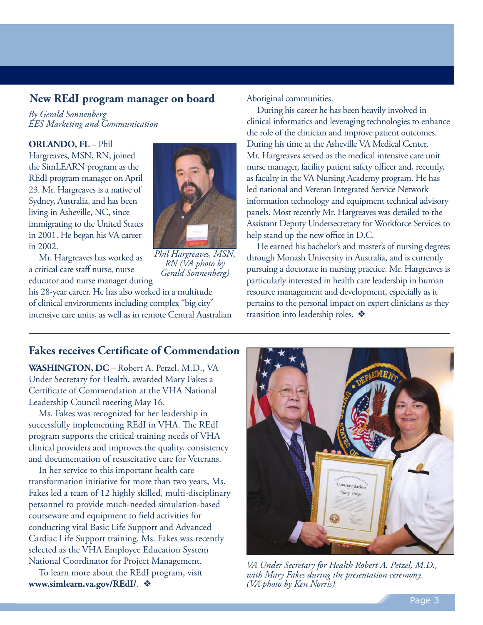#### <span id="page-2-0"></span>**New REdI program manager on board**

*By Gerald Sonnenberg EES Marketing and Communication* 

 **ORLANDO, FL** – Phil Hargreaves, MSN, RN, joined the SimLEARN program as the REdI program manager on April 23. Mr. Hargreaves is a native of Sydney, Australia, and has been living in Asheville, NC, since immigrating to the United States in 2001. He began his VA career



 a critical care staff nurse, nurse educator and nurse manager during Mr. Hargreaves has worked as

in 2002.

 *Phil Hargreaves, MSN, RN (VA photo by Gerald Sonnenberg)* 

 his 28-year career. He has also worked in a multitude of clinical environments including complex "big city" intensive care units, as well as in remote Central Australian Aboriginal communities.

 clinical informatics and leveraging technologies to enhance the role of the clinician and improve patient outcomes. During his time at the Asheville VA Medical Center, Mr. Hargreaves served as the medical intensive care unit nurse manager, facility patient safety officer and, recently, as faculty in the VA Nursing Academy program. He has led national and Veteran Integrated Service Network information technology and equipment technical advisory panels. Most recently Mr. Hargreaves was detailed to the Assistant Deputy Undersecretary for Workforce Services to help stand up the new office in D.C. During his career he has been heavily involved in

 through Monash University in Australia, and is currently pursuing a doctorate in nursing practice. Mr. Hargreaves is particularly interested in health care leadership in human resource management and development, especially as it pertains to the personal impact on expert clinicians as they transition into leadership roles.  $\clubsuit$ He earned his bachelor's and master's of nursing degrees

#### **Fakes receives Certificate of Commendation**

 **WASHINGTON, DC** – Robert A. Petzel, M.D., VA Under Secretary for Health, awarded Mary Fakes a Certificate of Commendation at the VHA National Leadership Council meeting May 16.

Ms. Fakes was recognized for her leadership in successfully implementing REdI in VHA. The REdI program supports the critical training needs of VHA clinical providers and improves the quality, consistency and documentation of resuscitative care for Veterans.

In her service to this important health care transformation initiative for more than two years, Ms. Fakes led a team of 12 highly skilled, multi-disciplinary personnel to provide much-needed simulation-based courseware and equipment to field activities for conducting vital Basic Life Support and Advanced Cardiac Life Support training. Ms. Fakes was recently selected as the VHA Employee Education System National Coordinator for Project Management.

To learn more about the REdI program, visit www.simlearn.va.gov/REdI/.  $\triangleleft$ 



 *VA Under Secretary for Health Robert A. Petzel, M.D., with Mary Fakes during the presentation ceremony. (VA photo by Ken Norris)*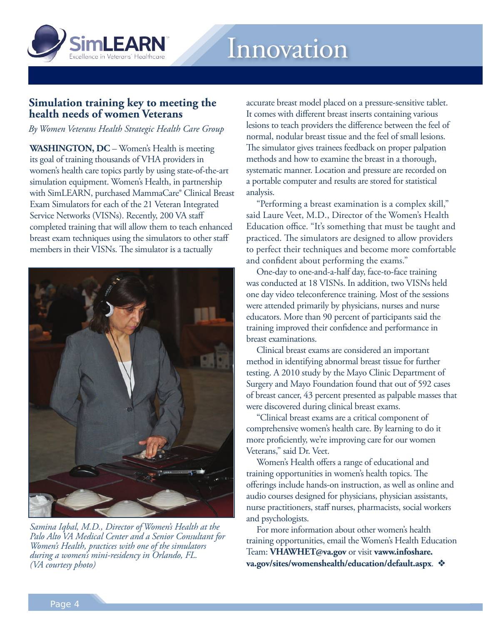<span id="page-3-0"></span>

#### **Simulation training key to meeting the health needs of women Veterans**

*By Women Veterans Health Strategic Health Care Group* 

 **WASHINGTON, DC** – Women's Health is meeting its goal of training thousands of VHA providers in women's health care topics partly by using state-of-the-art simulation equipment. Women's Health, in partnership with SimLEARN, purchased MammaCare® Clinical Breast Exam Simulators for each of the 21 Veteran Integrated Service Networks (VISNs). Recently, 200 VA staff completed training that will allow them to teach enhanced breast exam techniques using the simulators to other staff members in their VISNs. The simulator is a tactually



 *Samina Iqbal, M.D., Director of Women's Health at the Palo Alto VA Medical Center and a Senior Consultant for Women's Health, practices with one of the simulators during a women's mini-residency in Orlando, FL. (VA courtesy photo)* 

 accurate breast model placed on a pressure-sensitive tablet. It comes with different breast inserts containing various lesions to teach providers the difference between the feel of normal, nodular breast tissue and the feel of small lesions. The simulator gives trainees feedback on proper palpation methods and how to examine the breast in a thorough, systematic manner. Location and pressure are recorded on a portable computer and results are stored for statistical analysis.

"Performing a breast examination is a complex skill," said Laure Veet, M.D., Director of the Women's Health Education office. "It's something that must be taught and practiced. The simulators are designed to allow providers to perfect their techniques and become more comfortable and confident about performing the exams."

 was conducted at 18 VISNs. In addition, two VISNs held one day video teleconference training. Most of the sessions were attended primarily by physicians, nurses and nurse educators. More than 90 percent of participants said the training improved their confidence and performance in One-day to one-and-a-half day, face-to-face training breast examinations.

 method in identifying abnormal breast tissue for further testing. A 2010 study by the Mayo Clinic Department of Surgery and Mayo Foundation found that out of 592 cases of breast cancer, 43 percent presented as palpable masses that were discovered during clinical breast exams. Clinical breast exams are considered an important

 comprehensive women's health care. By learning to do it more proficiently, we're improving care for our women Veterans," said Dr. Veet. "Clinical breast exams are a critical component of

 training opportunities in women's health topics. The offerings include hands-on instruction, as well as online and audio courses designed for physicians, physician assistants, nurse practitioners, staff nurses, pharmacists, social workers Women's Health offers a range of educational and and psychologists.

 training opportunities, email the Women's Health Education Team: **VHAWHET@va.gov** or visit **vaww.infoshare. va.gov/sites/womenshealth/education/default.aspx**. v For more information about other women's health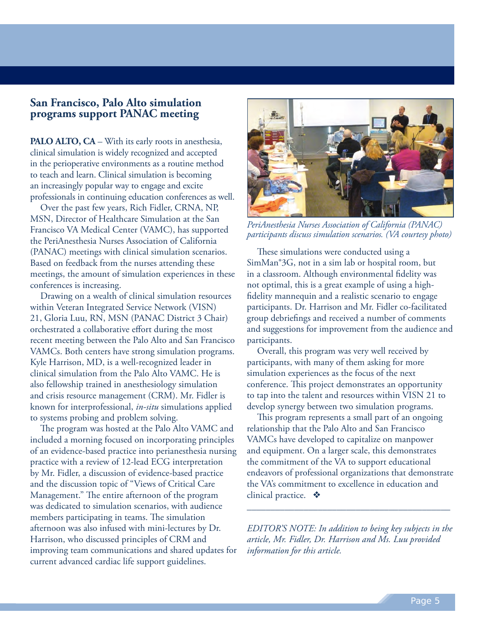#### <span id="page-4-0"></span>**San Francisco, Palo Alto simulation programs support PANAC meeting**

**PALO ALTO, CA** – With its early roots in anesthesia, clinical simulation is widely recognized and accepted in the perioperative environments as a routine method to teach and learn. Clinical simulation is becoming an increasingly popular way to engage and excite professionals in continuing education conferences as well.

Over the past few years, Rich Fidler, CRNA, NP, MSN, Director of Healthcare Simulation at the San Francisco VA Medical Center (VAMC), has supported the PeriAnesthesia Nurses Association of California (PANAC) meetings with clinical simulation scenarios. Based on feedback from the nurses attending these meetings, the amount of simulation experiences in these conferences is increasing.

Drawing on a wealth of clinical simulation resources within Veteran Integrated Service Network (VISN) 21, Gloria Luu, RN, MSN (PANAC District 3 Chair) orchestrated a collaborative effort during the most recent meeting between the Palo Alto and San Francisco VAMCs. Both centers have strong simulation programs. Kyle Harrison, MD, is a well-recognized leader in clinical simulation from the Palo Alto VAMC. He is also fellowship trained in anesthesiology simulation and crisis resource management (CRM). Mr. Fidler is known for interprofessional, *in-situ* simulations applied to systems probing and problem solving.

The program was hosted at the Palo Alto VAMC and included a morning focused on incorporating principles of an evidence-based practice into perianesthesia nursing practice with a review of 12-lead ECG interpretation by Mr. Fidler, a discussion of evidence-based practice and the discussion topic of "Views of Critical Care Management." The entire afternoon of the program was dedicated to simulation scenarios, with audience members participating in teams. The simulation afternoon was also infused with mini-lectures by Dr. Harrison, who discussed principles of CRM and improving team communications and shared updates for current advanced cardiac life support guidelines.



 *PeriAnesthesia Nurses Association of California (PANAC) participants discuss simulation scenarios. (VA courtesy photo)* 

These simulations were conducted using a SimMan®3G, not in a sim lab or hospital room, but in a classroom. Although environmental fidelity was not optimal, this is a great example of using a highfidelity mannequin and a realistic scenario to engage participants. Dr. Harrison and Mr. Fidler co-facilitated group debriefings and received a number of comments and suggestions for improvement from the audience and participants.

Overall, this program was very well received by participants, with many of them asking for more simulation experiences as the focus of the next conference. This project demonstrates an opportunity to tap into the talent and resources within VISN 21 to develop synergy between two simulation programs.

This program represents a small part of an ongoing relationship that the Palo Alto and San Francisco VAMCs have developed to capitalize on manpower and equipment. On a larger scale, this demonstrates the commitment of the VA to support educational endeavors of professional organizations that demonstrate the VA's commitment to excellence in education and clinical practice.  $\mathbf{\hat{P}}$ 

*EDITOR'S NOTE: In addition to being key subjects in the article, Mr. Fidler, Dr. Harrison and Ms. Luu provided information for this article.* 

\_\_\_\_\_\_\_\_\_\_\_\_\_\_\_\_\_\_\_\_\_\_\_\_\_\_\_\_\_\_\_\_\_\_\_\_\_\_\_\_\_\_\_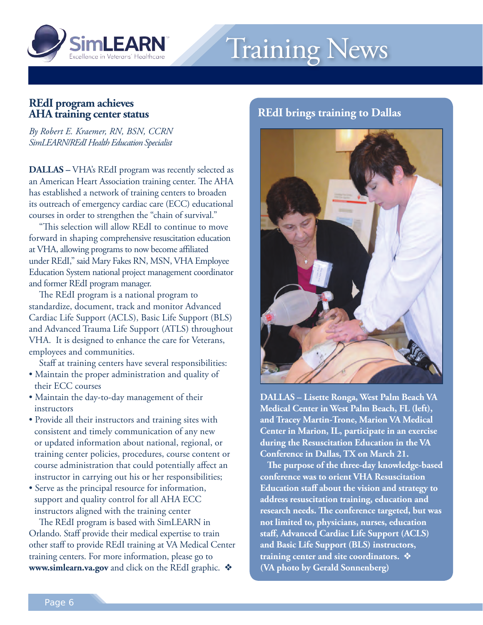<span id="page-5-0"></span>

# Training News

#### **AHA training center status REdI program achieves**

 *SimLEARN/REdI Health Education Specialist By Robert E. Kraemer, RN, BSN, CCRN* 

 **DALLAS –** VHA's REdI program was recently selected as an American Heart Association training center. The AHA has established a network of training centers to broaden its outreach of emergency cardiac care (ECC) educational courses in order to strengthen the "chain of survival."

 forward in shaping comprehensive resuscitation education at VHA, allowing programs to now become affiliated under REdI," said Mary Fakes RN, MSN, VHA Employee Education System national project management coordinator and former REdI program manager. "This selection will allow REdI to continue to move

The REdI program is a national program to standardize, document, track and monitor Advanced Cardiac Life Support (ACLS), Basic Life Support (BLS) and Advanced Trauma Life Support (ATLS) throughout VHA. It is designed to enhance the care for Veterans, employees and communities.

Staff at training centers have several responsibilities:

- Maintain the proper administration and quality of their ECC courses
- Maintain the day-to-day management of their instructors
- Provide all their instructors and training sites with consistent and timely communication of any new or updated information about national, regional, or training center policies, procedures, course content or course administration that could potentially affect an instructor in carrying out his or her responsibilities;
- Serve as the principal resource for information, support and quality control for all AHA ECC instructors aligned with the training center

 Orlando. Staff provide their medical expertise to train other staff to provide REdI training at VA Medical Center training centers. For more information, please go to www.simlearn.va.gov and click on the REdI graphic.  $\clubsuit$ The REdI program is based with SimLEARN in

#### **REdI brings training to Dallas**



 **DALLAS – Lisette Ronga, West Palm Beach VA Medical Center in West Palm Beach, FL (left), and Tracey Martin-Trone, Marion VA Medical Center in Marion, IL, participate in an exercise during the Resuscitation Education in the VA Conference in Dallas, TX on March 21.** 

 **conference was to orient VHA Resuscitation Education staff about the vision and strategy to address resuscitation training, education and research needs. The conference targeted, but was not limited to, physicians, nurses, education staff, Advanced Cardiac Life Support (ACLS) and Basic Life Support (BLS) instructors, training center and site coordinators.** v  **(VA photo by Gerald Sonnenberg) The purpose of the three-day knowledge-based**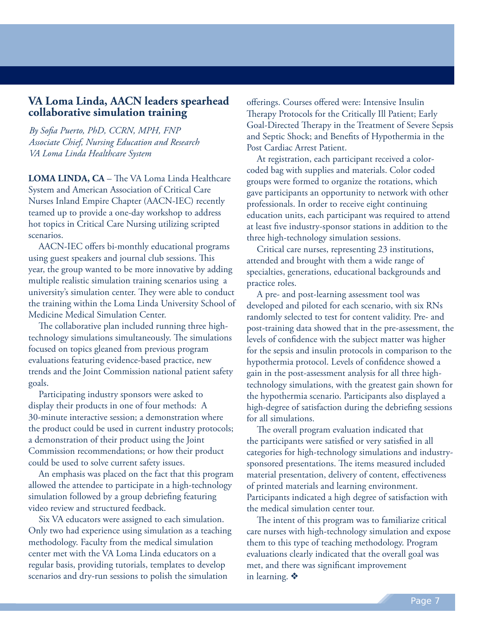#### <span id="page-6-0"></span>**VA Loma Linda, AACN leaders spearhead collaborative simulation training**

*By Sofia Puerto, PhD, CCRN, MPH, FNP Associate Chief, Nursing Education and Research VA Loma Linda Healthcare System* 

**LOMA LINDA, CA** – The VA Loma Linda Healthcare System and American Association of Critical Care Nurses Inland Empire Chapter (AACN-IEC) recently teamed up to provide a one-day workshop to address hot topics in Critical Care Nursing utilizing scripted scenarios.

AACN-IEC offers bi-monthly educational programs using guest speakers and journal club sessions. This year, the group wanted to be more innovative by adding multiple realistic simulation training scenarios using a university's simulation center. They were able to conduct the training within the Loma Linda University School of Medicine Medical Simulation Center.

The collaborative plan included running three hightechnology simulations simultaneously. The simulations focused on topics gleaned from previous program evaluations featuring evidence-based practice, new trends and the Joint Commission national patient safety goals.

Participating industry sponsors were asked to display their products in one of four methods: A 30-minute interactive session; a demonstration where the product could be used in current industry protocols; a demonstration of their product using the Joint Commission recommendations; or how their product could be used to solve current safety issues.

An emphasis was placed on the fact that this program allowed the attendee to participate in a high-technology simulation followed by a group debriefing featuring video review and structured feedback.

Six VA educators were assigned to each simulation. Only two had experience using simulation as a teaching methodology. Faculty from the medical simulation center met with the VA Loma Linda educators on a regular basis, providing tutorials, templates to develop scenarios and dry-run sessions to polish the simulation

offerings. Courses offered were: Intensive Insulin Therapy Protocols for the Critically Ill Patient; Early Goal-Directed Therapy in the Treatment of Severe Sepsis and Septic Shock; and Benefits of Hypothermia in the Post Cardiac Arrest Patient.

At registration, each participant received a colorcoded bag with supplies and materials. Color coded groups were formed to organize the rotations, which gave participants an opportunity to network with other professionals. In order to receive eight continuing education units, each participant was required to attend at least five industry-sponsor stations in addition to the three high-technology simulation sessions.

Critical care nurses, representing 23 institutions, attended and brought with them a wide range of specialties, generations, educational backgrounds and practice roles.

A pre- and post-learning assessment tool was developed and piloted for each scenario, with six RNs randomly selected to test for content validity. Pre- and post-training data showed that in the pre-assessment, the levels of confidence with the subject matter was higher for the sepsis and insulin protocols in comparison to the hypothermia protocol. Levels of confidence showed a gain in the post-assessment analysis for all three hightechnology simulations, with the greatest gain shown for the hypothermia scenario. Participants also displayed a high-degree of satisfaction during the debriefing sessions for all simulations.

The overall program evaluation indicated that the participants were satisfied or very satisfied in all categories for high-technology simulations and industrysponsored presentations. The items measured included material presentation, delivery of content, effectiveness of printed materials and learning environment. Participants indicated a high degree of satisfaction with the medical simulation center tour.

The intent of this program was to familiarize critical care nurses with high-technology simulation and expose them to this type of teaching methodology. Program evaluations clearly indicated that the overall goal was met, and there was significant improvement in learning.  $\diamondsuit$